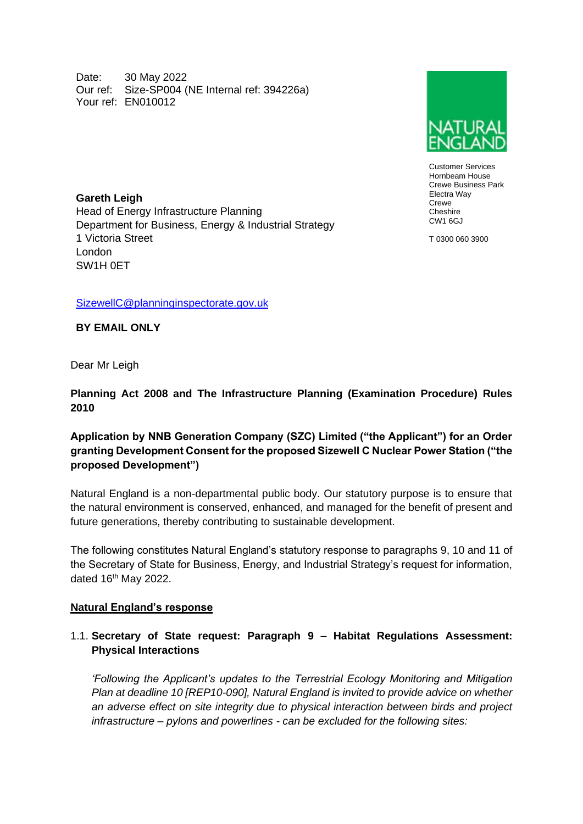Date: 30 May 2022 Our ref: Size-SP004 (NE Internal ref: 394226a) Your ref: EN010012



Customer Services Hornbeam House Crewe Business Park Electra Way Crewe **Cheshire**  $CM1$  6G.I

T 0300 060 3900

**Gareth Leigh**  Head of Energy Infrastructure Planning Department for Business, Energy & Industrial Strategy 1 Victoria Street London SW1H 0ET

[SizewellC@planninginspectorate.gov.uk](mailto:SizewellC@planninginspectorate.gov.uk)

**BY EMAIL ONLY**

Dear Mr Leigh

**Planning Act 2008 and The Infrastructure Planning (Examination Procedure) Rules 2010**

# **Application by NNB Generation Company (SZC) Limited ("the Applicant") for an Order granting Development Consent for the proposed Sizewell C Nuclear Power Station ("the proposed Development")**

Natural England is a non-departmental public body. Our statutory purpose is to ensure that the natural environment is conserved, enhanced, and managed for the benefit of present and future generations, thereby contributing to sustainable development.

The following constitutes Natural England's statutory response to paragraphs 9, 10 and 11 of the Secretary of State for Business, Energy, and Industrial Strategy's request for information, dated 16<sup>th</sup> May 2022.

#### **Natural England's response**

## 1.1. **Secretary of State request: Paragraph 9 – Habitat Regulations Assessment: Physical Interactions**

*'Following the Applicant's updates to the Terrestrial Ecology Monitoring and Mitigation Plan at deadline 10 [REP10-090], Natural England is invited to provide advice on whether an adverse effect on site integrity due to physical interaction between birds and project infrastructure – pylons and powerlines - can be excluded for the following sites:*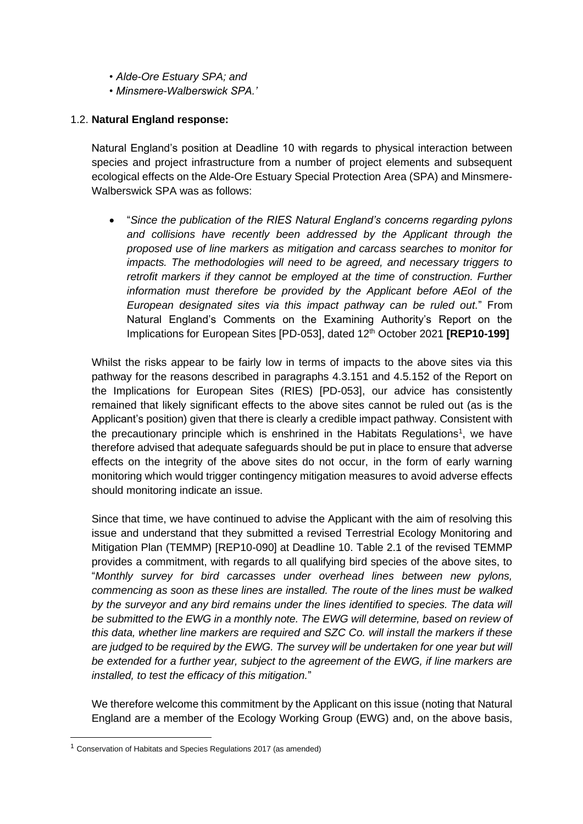- *Alde-Ore Estuary SPA; and*
- *Minsmere-Walberswick SPA.'*

### 1.2. **Natural England response:**

Natural England's position at Deadline 10 with regards to physical interaction between species and project infrastructure from a number of project elements and subsequent ecological effects on the Alde-Ore Estuary Special Protection Area (SPA) and Minsmere-Walberswick SPA was as follows:

• "*Since the publication of the RIES Natural England's concerns regarding pylons and collisions have recently been addressed by the Applicant through the proposed use of line markers as mitigation and carcass searches to monitor for impacts. The methodologies will need to be agreed, and necessary triggers to retrofit markers if they cannot be employed at the time of construction. Further information must therefore be provided by the Applicant before AEoI of the European designated sites via this impact pathway can be ruled out.*" From Natural England's Comments on the Examining Authority's Report on the Implications for European Sites [PD-053], dated 12<sup>th</sup> October 2021 **[REP10-199]** 

Whilst the risks appear to be fairly low in terms of impacts to the above sites via this pathway for the reasons described in paragraphs 4.3.151 and 4.5.152 of the Report on the Implications for European Sites (RIES) [PD-053], our advice has consistently remained that likely significant effects to the above sites cannot be ruled out (as is the Applicant's position) given that there is clearly a credible impact pathway. Consistent with the precautionary principle which is enshrined in the Habitats Regulations<sup>1</sup>, we have therefore advised that adequate safeguards should be put in place to ensure that adverse effects on the integrity of the above sites do not occur, in the form of early warning monitoring which would trigger contingency mitigation measures to avoid adverse effects should monitoring indicate an issue.

Since that time, we have continued to advise the Applicant with the aim of resolving this issue and understand that they submitted a revised Terrestrial Ecology Monitoring and Mitigation Plan (TEMMP) [REP10-090] at Deadline 10. Table 2.1 of the revised TEMMP provides a commitment, with regards to all qualifying bird species of the above sites, to "*Monthly survey for bird carcasses under overhead lines between new pylons, commencing as soon as these lines are installed. The route of the lines must be walked by the surveyor and any bird remains under the lines identified to species. The data will*  be submitted to the EWG in a monthly note. The EWG will determine, based on review of *this data, whether line markers are required and SZC Co. will install the markers if these are judged to be required by the EWG. The survey will be undertaken for one year but will be extended for a further year, subject to the agreement of the EWG, if line markers are installed, to test the efficacy of this mitigation.*"

We therefore welcome this commitment by the Applicant on this issue (noting that Natural England are a member of the Ecology Working Group (EWG) and, on the above basis,

<sup>1</sup> Conservation of Habitats and Species Regulations 2017 (as amended)